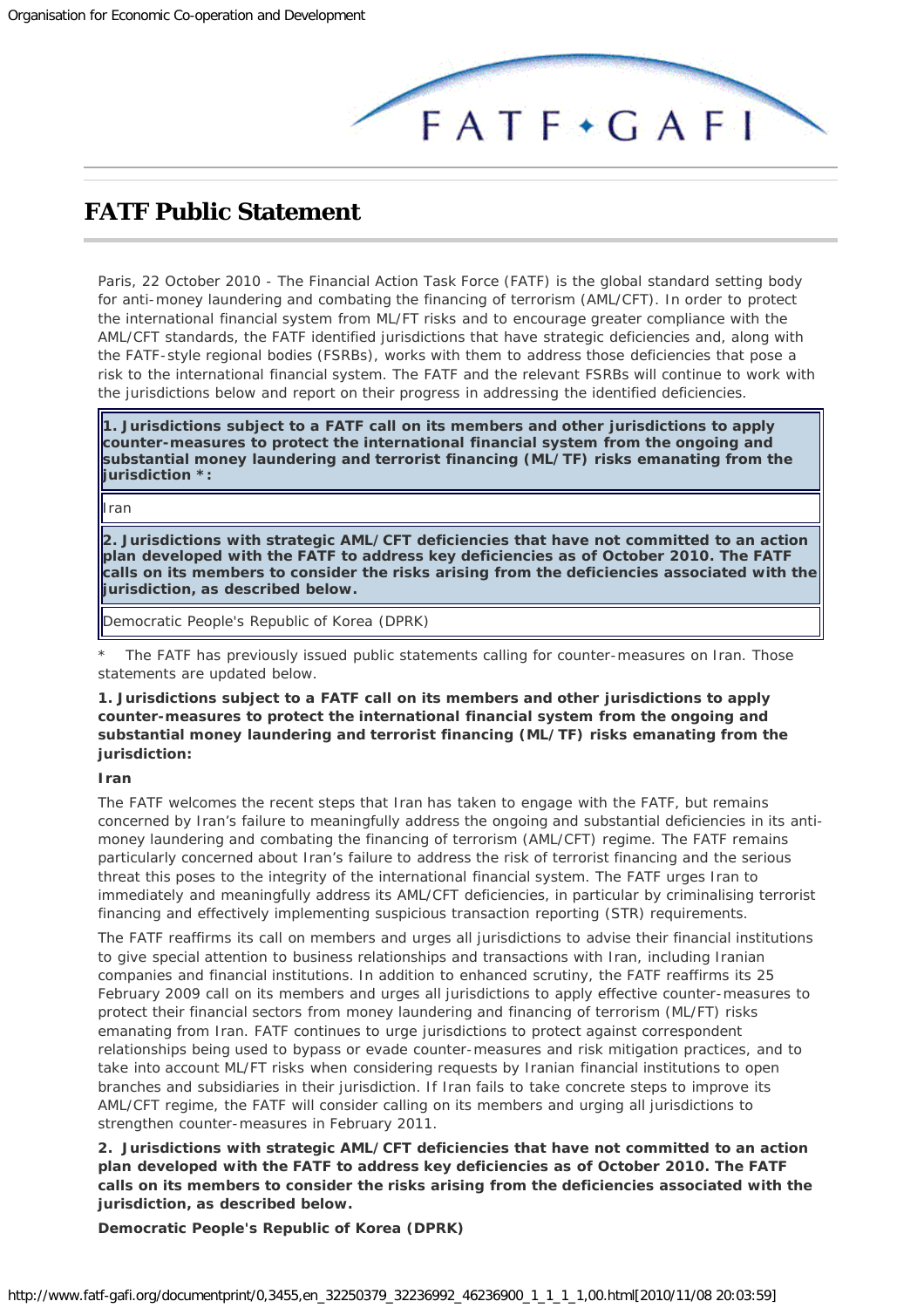

## <span id="page-0-0"></span>**FATF Public Statement**

Paris, 22 October 2010 - The Financial Action Task Force (FATF) is the global standard setting body for anti-money laundering and combating the financing of terrorism (AML/CFT). In order to protect the international financial system from ML/FT risks and to encourage greater compliance with the AML/CFT standards, the FATF identified jurisdictions that have strategic deficiencies and, along with the FATF-style regional bodies (FSRBs), works with them to address those deficiencies that pose a risk to the international financial system. The FATF and the relevant FSRBs will continue to work with the jurisdictions below and report on their progress in addressing the identified deficiencies.

**1. Jurisdictions subject to a FATF call on its members and other jurisdictions to apply counter-measures to protect the international financial system from the ongoing and substantial money laundering and terrorist financing (ML/TF) risks emanating from the jurisdiction \*:**

Iran

**2. Jurisdictions with strategic AML/CFT deficiencies that have not committed to an action plan developed with the FATF to address key deficiencies as of October 2010. The FATF calls on its members to consider the risks arising from the deficiencies associated with the jurisdiction, as described below.**

Democratic People's Republic of Korea (DPRK)

The FATF has previously issued public statements calling for counter-measures on Iran. Those statements are updated below.

## *1. Jurisdictions subject to a FATF call on its members and other jurisdictions to apply counter-measures to protect the international financial system from the ongoing and substantial money laundering and terrorist financing (ML/TF) risks emanating from the jurisdiction:*

## **Iran**

The FATF welcomes the recent steps that Iran has taken to engage with the FATF, but remains concerned by Iran's failure to meaningfully address the ongoing and substantial deficiencies in its antimoney laundering and combating the financing of terrorism (AML/CFT) regime. The FATF remains particularly concerned about Iran's failure to address the risk of terrorist financing and the serious threat this poses to the integrity of the international financial system. The FATF urges Iran to immediately and meaningfully address its AML/CFT deficiencies, in particular by criminalising terrorist financing and effectively implementing suspicious transaction reporting (STR) requirements.

The FATF reaffirms its call on members and urges all jurisdictions to advise their financial institutions to give special attention to business relationships and transactions with Iran, including Iranian companies and financial institutions. In addition to enhanced scrutiny, the FATF reaffirms its 25 February 2009 call on its members and urges all jurisdictions to apply effective counter-measures to protect their financial sectors from money laundering and financing of terrorism (ML/FT) risks emanating from Iran. FATF continues to urge jurisdictions to protect against correspondent relationships being used to bypass or evade counter-measures and risk mitigation practices, and to take into account ML/FT risks when considering requests by Iranian financial institutions to open branches and subsidiaries in their jurisdiction. If Iran fails to take concrete steps to improve its AML/CFT regime, the FATF will consider calling on its members and urging all jurisdictions to strengthen counter-measures in February 2011.

*2. Jurisdictions with strategic AML/CFT deficiencies that have not committed to an action plan developed with the FATF to address key deficiencies as of October 2010. The FATF calls on its members to consider the risks arising from the deficiencies associated with the jurisdiction, as described below.*

**Democratic People's Republic of Korea (DPRK)**